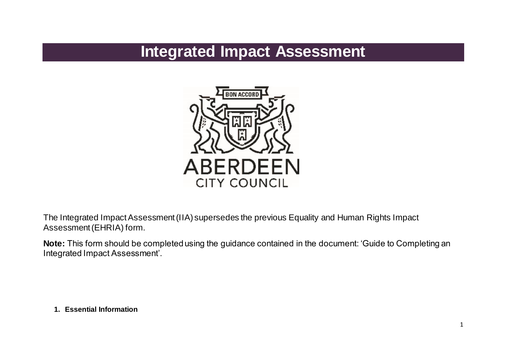# **Integrated Impact Assessment**



The Integrated Impact Assessment (IIA) supersedes the previous Equality and Human Rights Impact Assessment (EHRIA) form.

**Note:** This form should be completed using the guidance contained in the document: 'Guide to Completing an Integrated Impact Assessment'.

**1. Essential Information**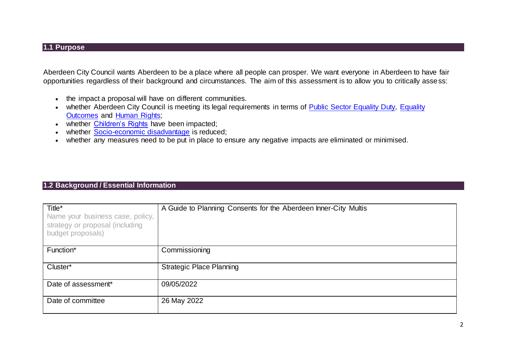#### **1.1 Purpose**

Aberdeen City Council wants Aberdeen to be a place where all people can prosper. We want everyone in Aberdeen to have fair opportunities regardless of their background and circumstances. The aim of this assessment is to allow you to critically assess:

- the impact a proposal will have on different communities.
- whether Aberdeen City Council is meeting its legal requirements in terms of [Public Sector Equality Duty,](https://www.equalityhumanrights.com/en/advice-and-guidance/public-sector-equality-duty) Equality [Outcomes](https://www.aberdeencity.gov.uk/sites/default/files/2017-10/Equality_Outcomes_and_Mainstreaming_Report_2017-21.pdf) and [Human Rights;](https://www.equalityhumanrights.com/en/human-rights/human-rights-act)
- whether [Children's Rights](https://www.unicef.org.uk/what-we-do/un-convention-child-rights/) have been impacted;
- whether [Socio-economic disadvantage](https://www.gov.scot/publications/fairer-scotland-duty-interim-guidance-public-bodies/pages/2/) is reduced;
- whether any measures need to be put in place to ensure any negative impacts are eliminated or minimised.

### **1.2 Background / Essential Information**

| Title*<br>Name your business case, policy,<br>strategy or proposal (including<br>budget proposals) | A Guide to Planning Consents for the Aberdeen Inner-City Multis |
|----------------------------------------------------------------------------------------------------|-----------------------------------------------------------------|
| Function*                                                                                          | Commissioning                                                   |
| Cluster*                                                                                           | <b>Strategic Place Planning</b>                                 |
| Date of assessment*                                                                                | 09/05/2022                                                      |
| Date of committee                                                                                  | 26 May 2022                                                     |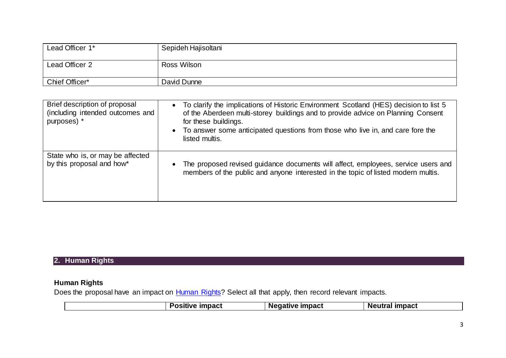| Lead Officer 1* | Sepideh Hajisoltani |
|-----------------|---------------------|
| Lead Officer 2  | Ross Wilson         |
| Chief Officer*  | David Dunne         |

| Brief description of proposal<br>(including intended outcomes and<br>purposes) * | • To clarify the implications of Historic Environment Scotland (HES) decision to list 5<br>of the Aberdeen multi-storey buildings and to provide advice on Planning Consent<br>for these buildings.<br>• To answer some anticipated questions from those who live in, and care fore the<br>listed multis. |
|----------------------------------------------------------------------------------|-----------------------------------------------------------------------------------------------------------------------------------------------------------------------------------------------------------------------------------------------------------------------------------------------------------|
| State who is, or may be affected                                                 | The proposed revised guidance documents will affect, employees, service users and                                                                                                                                                                                                                         |
| by this proposal and how*                                                        | members of the public and anyone interested in the topic of listed modern multis.                                                                                                                                                                                                                         |

## **2. Human Rights**

## **Human Rights**

Does the proposal have an impact on **Human Rights**? Select all that apply, then record relevant impacts.

|  |  | <b>Positive</b><br><b>impact</b> | <b>Negative impact</b> | <b>Neutral impact</b> |
|--|--|----------------------------------|------------------------|-----------------------|
|--|--|----------------------------------|------------------------|-----------------------|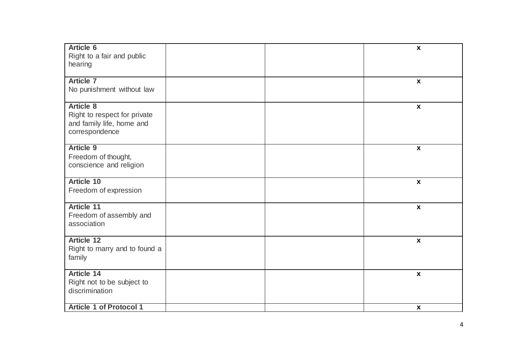| <b>Article 6</b><br>Right to a fair and public<br>hearing                                       |  | $\boldsymbol{\mathsf{X}}$ |
|-------------------------------------------------------------------------------------------------|--|---------------------------|
| <b>Article 7</b><br>No punishment without law                                                   |  | $\boldsymbol{\mathsf{x}}$ |
| <b>Article 8</b><br>Right to respect for private<br>and family life, home and<br>correspondence |  | $\boldsymbol{\mathsf{x}}$ |
| <b>Article 9</b><br>Freedom of thought,<br>conscience and religion                              |  | $\mathbf{x}$              |
| <b>Article 10</b><br>Freedom of expression                                                      |  | $\boldsymbol{\mathsf{x}}$ |
| <b>Article 11</b><br>Freedom of assembly and<br>association                                     |  | $\boldsymbol{\mathsf{x}}$ |
| <b>Article 12</b><br>Right to marry and to found a<br>family                                    |  | $\boldsymbol{\mathsf{x}}$ |
| <b>Article 14</b><br>Right not to be subject to<br>discrimination                               |  | $\boldsymbol{\mathsf{x}}$ |
| <b>Article 1 of Protocol 1</b>                                                                  |  | $\boldsymbol{\mathsf{X}}$ |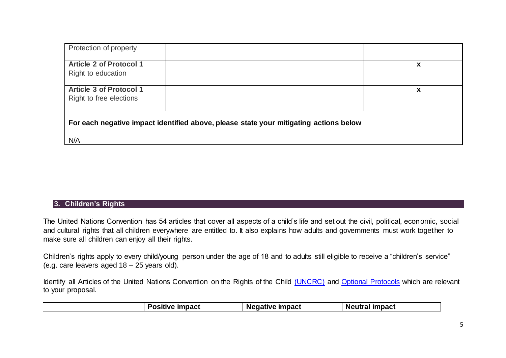| Protection of property                                                                |   |
|---------------------------------------------------------------------------------------|---|
| <b>Article 2 of Protocol 1</b><br>Right to education                                  | х |
|                                                                                       |   |
| <b>Article 3 of Protocol 1</b><br>Right to free elections                             | х |
| For each negative impact identified above, please state your mitigating actions below |   |
| N/A                                                                                   |   |

#### **3. Children's Rights**

The United Nations Convention has 54 articles that cover all aspects of a child's life and set out the civil, political, economic, social and cultural rights that all children everywhere are entitled to. It also explains how adults and governments must work together to make sure all children can enjoy all their rights.

Children's rights apply to every child/young person under the age of 18 and to adults still eligible to receive a "children's service" (e.g. care leavers aged 18 – 25 years old).

Identify all Articles of the United Nations Convention on the Rights of the Child [\(UNCRC\)](https://www.unicef.org.uk/wp-content/uploads/2010/05/UNCRC_summary-1.pdf) and [Optional Protocols](https://www.togetherscotland.org.uk/about-childrens-rights/un-convention-on-the-rights-of-the-child/optional-protocols/) which are relevant to your proposal.

| Negative impact<br><b>impact</b><br>Neutral impact<br>'OSITIV <del>e</del> . |
|------------------------------------------------------------------------------|
|------------------------------------------------------------------------------|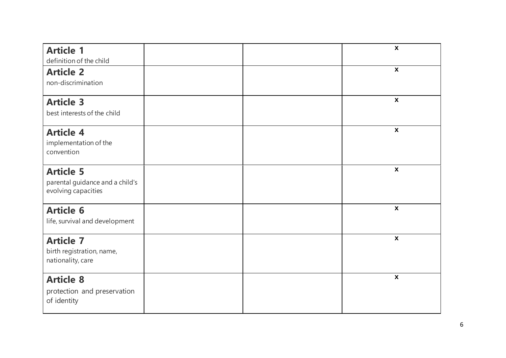| <b>Article 1</b>                                        |  | $\boldsymbol{\mathsf{X}}$ |
|---------------------------------------------------------|--|---------------------------|
| definition of the child                                 |  |                           |
| <b>Article 2</b>                                        |  | $\pmb{\mathsf{X}}$        |
| non-discrimination                                      |  |                           |
| <b>Article 3</b>                                        |  | $\boldsymbol{\mathsf{X}}$ |
| best interests of the child                             |  |                           |
| <b>Article 4</b>                                        |  | $\pmb{\mathsf{X}}$        |
| implementation of the                                   |  |                           |
| convention                                              |  |                           |
| <b>Article 5</b>                                        |  | $\boldsymbol{\mathsf{X}}$ |
| parental guidance and a child's                         |  |                           |
|                                                         |  |                           |
| <b>Article 6</b>                                        |  | $\boldsymbol{\mathsf{X}}$ |
| life, survival and development                          |  |                           |
| <b>Article 7</b>                                        |  | $\boldsymbol{\mathsf{X}}$ |
| birth registration, name,                               |  |                           |
|                                                         |  |                           |
| <b>Article 8</b>                                        |  | $\mathbf{x}$              |
| protection and preservation                             |  |                           |
|                                                         |  |                           |
| evolving capacities<br>nationality, care<br>of identity |  |                           |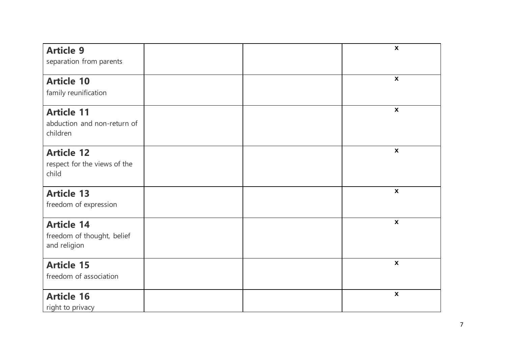| <b>Article 9</b><br>separation from parents                     |  | $\boldsymbol{\mathsf{x}}$ |
|-----------------------------------------------------------------|--|---------------------------|
| <b>Article 10</b><br>family reunification                       |  | $\mathbf{x}$              |
| <b>Article 11</b><br>abduction and non-return of<br>children    |  | $\mathbf{x}$              |
| <b>Article 12</b><br>respect for the views of the<br>child      |  | $\boldsymbol{\mathsf{x}}$ |
| <b>Article 13</b><br>freedom of expression                      |  | $\pmb{\chi}$              |
| <b>Article 14</b><br>freedom of thought, belief<br>and religion |  | $\boldsymbol{\mathsf{x}}$ |
| <b>Article 15</b><br>freedom of association                     |  | $\pmb{\mathsf{X}}$        |
| <b>Article 16</b><br>right to privacy                           |  | $\pmb{\chi}$              |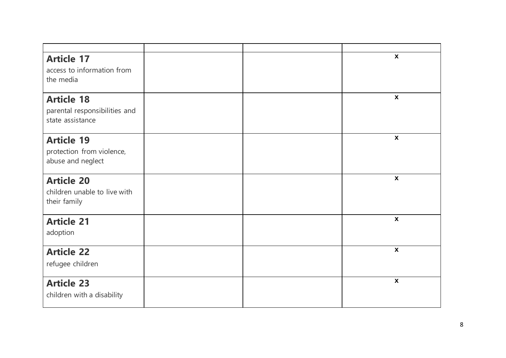| <b>Article 17</b><br>access to information from<br>the media           |  | $\boldsymbol{x}$          |
|------------------------------------------------------------------------|--|---------------------------|
| <b>Article 18</b><br>parental responsibilities and<br>state assistance |  | $\boldsymbol{\mathsf{X}}$ |
| <b>Article 19</b><br>protection from violence,<br>abuse and neglect    |  | $\boldsymbol{\mathsf{X}}$ |
| <b>Article 20</b><br>children unable to live with<br>their family      |  | $\boldsymbol{\mathsf{X}}$ |
| <b>Article 21</b><br>adoption                                          |  | $\pmb{\mathsf{X}}$        |
| <b>Article 22</b><br>refugee children                                  |  | $\boldsymbol{\mathsf{X}}$ |
| <b>Article 23</b><br>children with a disability                        |  | $\pmb{\mathsf{X}}$        |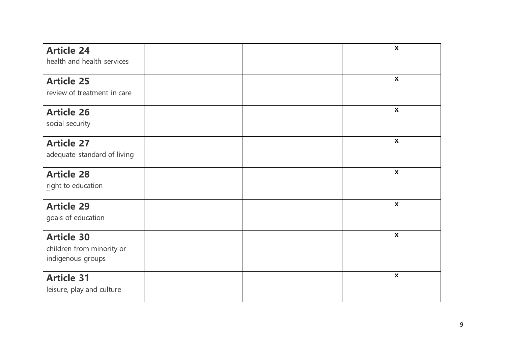| <b>Article 24</b><br>health and health services                     |  | $\boldsymbol{x}$          |
|---------------------------------------------------------------------|--|---------------------------|
| <b>Article 25</b><br>review of treatment in care                    |  | $\boldsymbol{x}$          |
| <b>Article 26</b><br>social security                                |  | $\boldsymbol{x}$          |
| <b>Article 27</b><br>adequate standard of living                    |  | $\boldsymbol{x}$          |
| <b>Article 28</b><br>right to education                             |  | $\boldsymbol{x}$          |
| <b>Article 29</b><br>goals of education                             |  | $\boldsymbol{\mathsf{x}}$ |
| <b>Article 30</b><br>children from minority or<br>indigenous groups |  | $\boldsymbol{\mathsf{x}}$ |
| <b>Article 31</b><br>leisure, play and culture                      |  | $\pmb{\mathsf{X}}$        |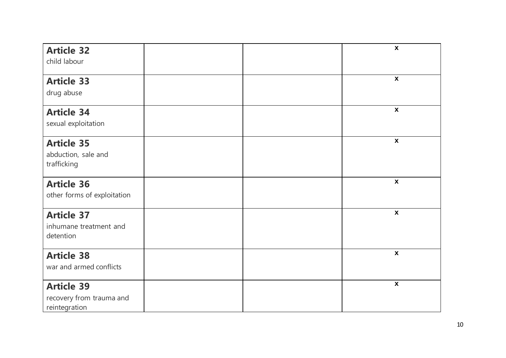| <b>Article 32</b>                                              |  | $\boldsymbol{\mathsf{x}}$ |
|----------------------------------------------------------------|--|---------------------------|
| child labour                                                   |  |                           |
| <b>Article 33</b>                                              |  | $\boldsymbol{\mathsf{X}}$ |
| drug abuse                                                     |  |                           |
| <b>Article 34</b><br>sexual exploitation                       |  | $\mathbf{x}$              |
| <b>Article 35</b><br>abduction, sale and<br>trafficking        |  | $\pmb{\chi}$              |
| <b>Article 36</b><br>other forms of exploitation               |  | $\boldsymbol{\mathsf{x}}$ |
| <b>Article 37</b><br>inhumane treatment and<br>detention       |  | $\pmb{\chi}$              |
| <b>Article 38</b><br>war and armed conflicts                   |  | $\boldsymbol{\mathsf{X}}$ |
| <b>Article 39</b><br>recovery from trauma and<br>reintegration |  | $\boldsymbol{\mathsf{X}}$ |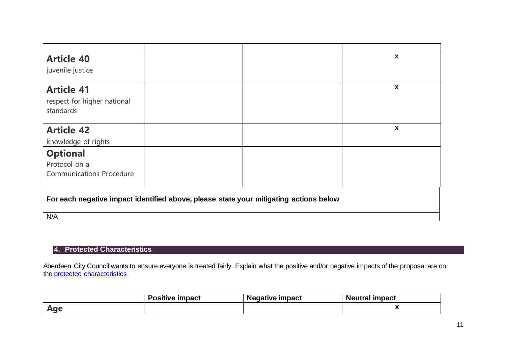| <b>Article 40</b>                                                                     |  | $\boldsymbol{x}$ |
|---------------------------------------------------------------------------------------|--|------------------|
|                                                                                       |  |                  |
| juvenile justice                                                                      |  |                  |
| <b>Article 41</b>                                                                     |  | X                |
| respect for higher national                                                           |  |                  |
| standards                                                                             |  |                  |
|                                                                                       |  |                  |
| <b>Article 42</b>                                                                     |  | X                |
| knowledge of rights                                                                   |  |                  |
| <b>Optional</b>                                                                       |  |                  |
| Protocol on a                                                                         |  |                  |
| <b>Communications Procedure</b>                                                       |  |                  |
|                                                                                       |  |                  |
| For each negative impact identified above, please state your mitigating actions below |  |                  |
| N/A                                                                                   |  |                  |

## **4. Protected Characteristics**

Aberdeen City Council wants to ensure everyone is treated fairly. Explain what the positive and/or negative impacts of the proposal are on the [protected characteristics](https://www.equalityhumanrights.com/en/equality-act/protected-characteristics)

|                         | Positive<br>impact | Negative impact | impact<br>Neutral |
|-------------------------|--------------------|-----------------|-------------------|
| $N$ $\sim$<br><b>ru</b> |                    |                 | --                |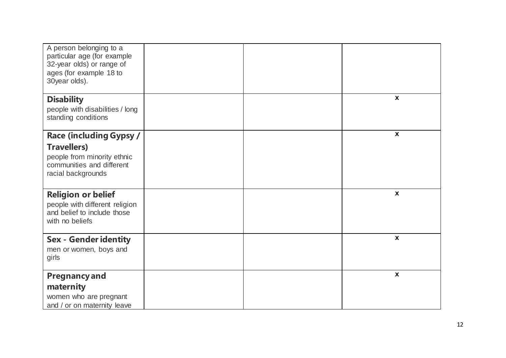| A person belonging to a<br>particular age (for example<br>32-year olds) or range of<br>ages (for example 18 to<br>30year olds). |  |                           |
|---------------------------------------------------------------------------------------------------------------------------------|--|---------------------------|
| <b>Disability</b>                                                                                                               |  | $\boldsymbol{x}$          |
| people with disabilities / long<br>standing conditions                                                                          |  |                           |
| <b>Race (including Gypsy /</b>                                                                                                  |  | $\boldsymbol{\mathsf{x}}$ |
| <b>Travellers)</b>                                                                                                              |  |                           |
| people from minority ethnic                                                                                                     |  |                           |
| communities and different                                                                                                       |  |                           |
| racial backgrounds                                                                                                              |  |                           |
| <b>Religion or belief</b>                                                                                                       |  | $\boldsymbol{\mathsf{x}}$ |
| people with different religion                                                                                                  |  |                           |
| and belief to include those<br>with no beliefs                                                                                  |  |                           |
|                                                                                                                                 |  |                           |
| <b>Sex - Gender identity</b>                                                                                                    |  | $\boldsymbol{\mathsf{X}}$ |
| men or women, boys and                                                                                                          |  |                           |
| girls                                                                                                                           |  |                           |
| <b>Pregnancy and</b>                                                                                                            |  | $\boldsymbol{\mathsf{X}}$ |
| maternity                                                                                                                       |  |                           |
| women who are pregnant                                                                                                          |  |                           |
| and / or on maternity leave                                                                                                     |  |                           |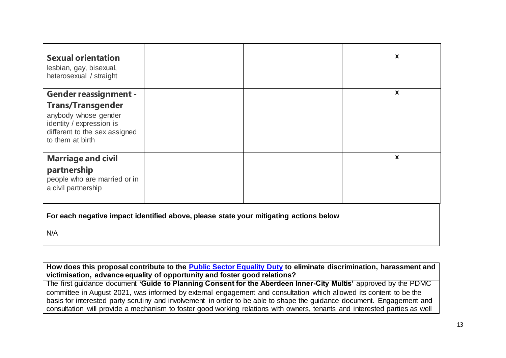| <b>Sexual orientation</b><br>lesbian, gay, bisexual,<br>heterosexual / straight                                                   |  | $\boldsymbol{\mathsf{x}}$ |
|-----------------------------------------------------------------------------------------------------------------------------------|--|---------------------------|
| <b>Gender reassignment -</b>                                                                                                      |  | $\boldsymbol{\mathsf{x}}$ |
| <b>Trans/Transgender</b><br>anybody whose gender<br>identity / expression is<br>different to the sex assigned<br>to them at birth |  |                           |
| <b>Marriage and civil</b>                                                                                                         |  | $\boldsymbol{\mathsf{x}}$ |
| partnership<br>people who are married or in<br>a civil partnership                                                                |  |                           |
| For each negative impact identified above, please state your mitigating actions below                                             |  |                           |
| N/A                                                                                                                               |  |                           |

**How does this proposal contribute to the [Public Sector Equality Duty](https://www.equalityhumanrights.com/en/advice-and-guidance/public-sector-equality-duty) to eliminate discrimination, harassment and victimisation, advance equality of opportunity and foster good relations?** 

 $\mathbf{I}$ 

The first guidance document **'Guide to Planning Consent for the Aberdeen Inner-City Multis'** approved by the PDMC committee in August 2021, was informed by external engagement and consultation which allowed its content to be the basis for interested party scrutiny and involvement in order to be able to shape the guidance document. Engagement and consultation will provide a mechanism to foster good working relations with owners, tenants and interested parties as well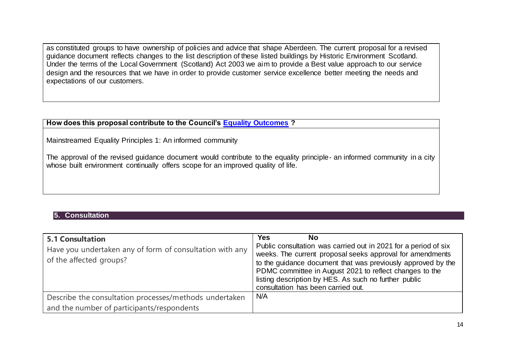as constituted groups to have ownership of policies and advice that shape Aberdeen. The current proposal for a revised guidance document reflects changes to the list description of these listed buildings by Historic Environment Scotland. Under the terms of the Local Government (Scotland) Act 2003 we aim to provide a Best value approach to our service design and the resources that we have in order to provide customer service excellence better meeting the needs and expectations of our customers.

#### **How does this proposal contribute to the Council's [Equality Outcomes](https://www.aberdeencity.gov.uk/sites/default/files/2017-10/Equality_Outcomes_and_Mainstreaming_Report_2017-21.pdf) ?**

Mainstreamed Equality Principles 1: An informed community

The approval of the revised guidance document would contribute to the equality principle- an informed community in a city whose built environment continually offers scope for an improved quality of life.

#### **5. Consultation**

| <b>5.1 Consultation</b><br>Have you undertaken any of form of consultation with any<br>of the affected groups? | <b>Yes</b><br><b>No</b><br>Public consultation was carried out in 2021 for a period of six<br>weeks. The current proposal seeks approval for amendments<br>to the guidance document that was previously approved by the<br>PDMC committee in August 2021 to reflect changes to the<br>listing description by HES. As such no further public<br>consultation has been carried out. |
|----------------------------------------------------------------------------------------------------------------|-----------------------------------------------------------------------------------------------------------------------------------------------------------------------------------------------------------------------------------------------------------------------------------------------------------------------------------------------------------------------------------|
| Describe the consultation processes/methods undertaken                                                         | N/A                                                                                                                                                                                                                                                                                                                                                                               |
| and the number of participants/respondents                                                                     |                                                                                                                                                                                                                                                                                                                                                                                   |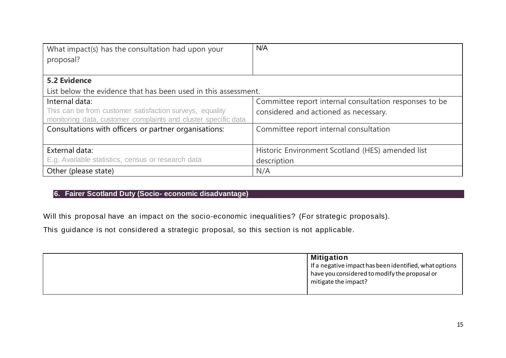| What impact(s) has the consultation had upon your                                                                          | N/A                                                    |
|----------------------------------------------------------------------------------------------------------------------------|--------------------------------------------------------|
| proposal?                                                                                                                  |                                                        |
|                                                                                                                            |                                                        |
| <b>5.2 Evidence</b>                                                                                                        |                                                        |
| List below the evidence that has been used in this assessment.                                                             |                                                        |
| Internal data:                                                                                                             | Committee report internal consultation responses to be |
| This can be from customer satisfaction surveys, equality<br>monitoring data, customer complaints and cluster specific data | considered and actioned as necessary.                  |
| Consultations with officers or partner organisations:                                                                      | Committee report internal consultation                 |
|                                                                                                                            |                                                        |
| External data:                                                                                                             | Historic Environment Scotland (HES) amended list       |
| E.g. Available statistics, census or research data                                                                         | description                                            |
| Other (please state)                                                                                                       | N/A                                                    |

## **6. Fairer Scotland Duty (Socio- economic disadvantage)**

Will this proposal have an impact on the [socio-economic inequalities?](https://www.gov.scot/publications/fairer-scotland-duty-interim-guidance-public-bodies/pages/2/) (For strategic proposals).

This guidance is not considered a strategic proposal, so this section is not applicable.

| <b>Mitigation</b>                                      |
|--------------------------------------------------------|
| If a negative impact has been identified, what options |
| have you considered to modify the proposal or          |
| mitigate the impact?                                   |
|                                                        |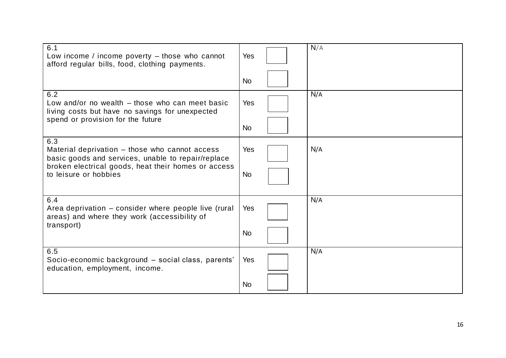| 6.1<br>Low income / income poverty $-$ those who cannot<br>afford regular bills, food, clothing payments.   | Yes        | N/A |
|-------------------------------------------------------------------------------------------------------------|------------|-----|
|                                                                                                             | <b>No</b>  |     |
| 6.2<br>Low and/or no wealth – those who can meet basic<br>living costs but have no savings for unexpected   | Yes        | N/A |
| spend or provision for the future                                                                           | <b>No</b>  |     |
| 6.3<br>Material deprivation – those who cannot access<br>basic goods and services, unable to repair/replace | Yes        | N/A |
| broken electrical goods, heat their homes or access<br>to leisure or hobbies                                | <b>No</b>  |     |
| 6.4<br>Area deprivation - consider where people live (rural<br>areas) and where they work (accessibility of | <b>Yes</b> | N/A |
| transport)                                                                                                  | <b>No</b>  |     |
| 6.5<br>Socio-economic background - social class, parents'<br>education, employment, income.                 | Yes        | N/A |
|                                                                                                             | <b>No</b>  |     |